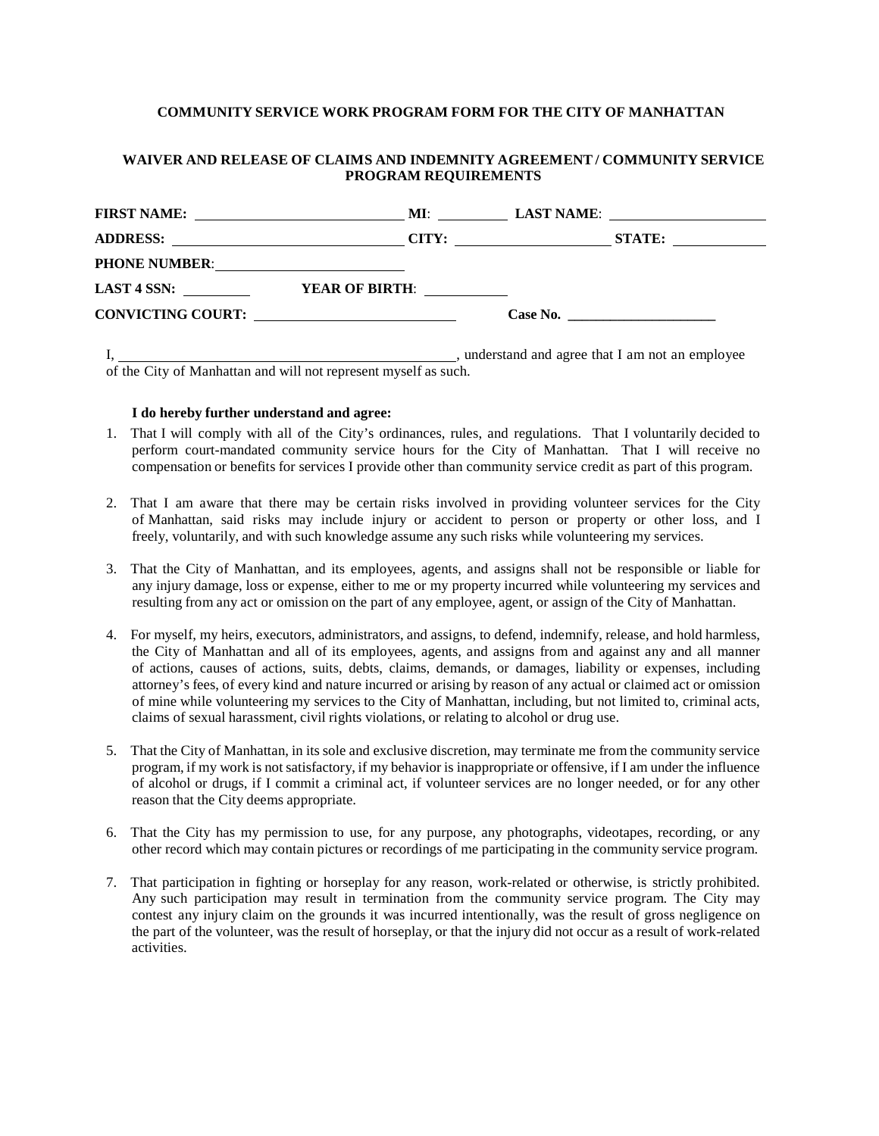### **COMMUNITY SERVICE WORK PROGRAM FORM FOR THE CITY OF MANHATTAN**

## **WAIVER AND RELEASE OF CLAIMS AND INDEMNITY AGREEMENT / COMMUNITY SERVICE PROGRAM REQUIREMENTS**

| <b>FIRST NAME:</b>       | MI:<br><u> 1989 - Johann Barbara, martin a</u>         |                                                |               |
|--------------------------|--------------------------------------------------------|------------------------------------------------|---------------|
|                          | CITY:                                                  | <u> 1980 - Jan Barbara Barbara, manazarta </u> | <b>STATE:</b> |
| <b>PHONE NUMBER:</b>     |                                                        |                                                |               |
| LAST 4 SSN:              | <b>YEAR OF BIRTH:</b>                                  |                                                |               |
| <b>CONVICTING COURT:</b> | <u> 1980 - Jan Barnett, fransk politiker (d. 1980)</u> |                                                |               |
|                          |                                                        |                                                |               |

I,  $\frac{1}{2}$  , understand and agree that I am not an employee of the City of Manhattan and will not represent myself as such.

#### **I do hereby further understand and agree:**

- 1. That I will comply with all of the City's ordinances, rules, and regulations. That I voluntarily decided to perform court-mandated community service hours for the City of Manhattan. That I will receive no compensation or benefits for services I provide other than community service credit as part of this program.
- 2. That I am aware that there may be certain risks involved in providing volunteer services for the City of Manhattan, said risks may include injury or accident to person or property or other loss, and I freely, voluntarily, and with such knowledge assume any such risks while volunteering my services.
- 3. That the City of Manhattan, and its employees, agents, and assigns shall not be responsible or liable for any injury damage, loss or expense, either to me or my property incurred while volunteering my services and resulting from any act or omission on the part of any employee, agent, or assign of the City of Manhattan.
- 4. For myself, my heirs, executors, administrators, and assigns, to defend, indemnify, release, and hold harmless, the City of Manhattan and all of its employees, agents, and assigns from and against any and all manner of actions, causes of actions, suits, debts, claims, demands, or damages, liability or expenses, including attorney's fees, of every kind and nature incurred or arising by reason of any actual or claimed act or omission of mine while volunteering my services to the City of Manhattan, including, but not limited to, criminal acts, claims of sexual harassment, civil rights violations, or relating to alcohol or drug use.
- 5. That the City of Manhattan, in its sole and exclusive discretion, may terminate me from the community service program, if my work is not satisfactory, if my behavior is inappropriate or offensive, if I am under the influence of alcohol or drugs, if I commit a criminal act, if volunteer services are no longer needed, or for any other reason that the City deems appropriate.
- 6. That the City has my permission to use, for any purpose, any photographs, videotapes, recording, or any other record which may contain pictures or recordings of me participating in the community service program.
- 7. That participation in fighting or horseplay for any reason, work-related or otherwise, is strictly prohibited. Any such participation may result in termination from the community service program. The City may contest any injury claim on the grounds it was incurred intentionally, was the result of gross negligence on the part of the volunteer, was the result of horseplay, or that the injury did not occur as a result of work-related activities.